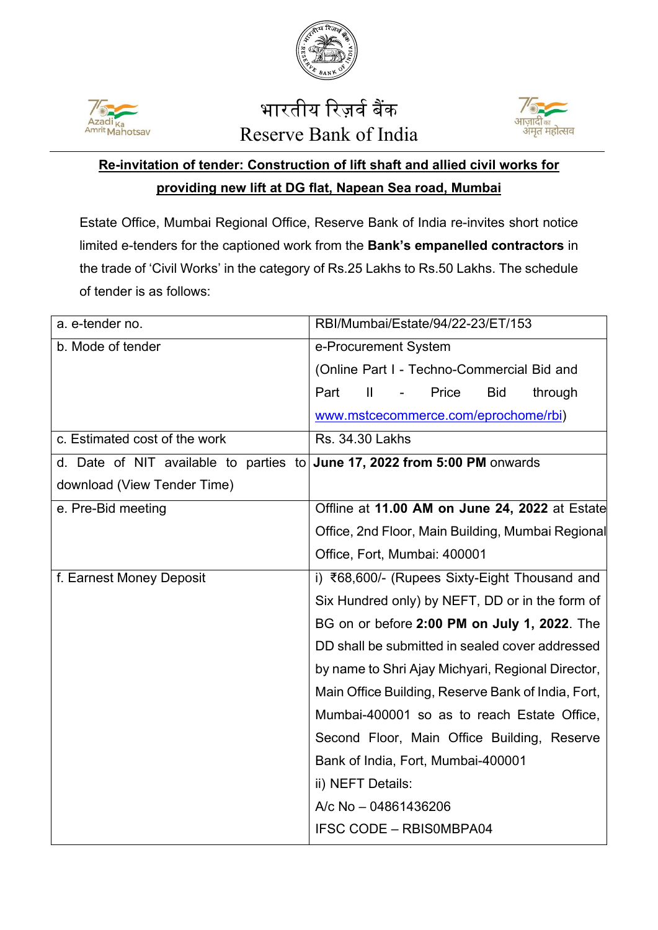



## भारतीय रिज़र्व बैंक Reserve Bank of India



## **Re-invitation of tender: Construction of lift shaft and allied civil works for providing new lift at DG flat, Napean Sea road, Mumbai**

Estate Office, Mumbai Regional Office, Reserve Bank of India re-invites short notice limited e-tenders for the captioned work from the **Bank's empanelled contractors** in the trade of 'Civil Works' in the category of Rs.25 Lakhs to Rs.50 Lakhs. The schedule of tender is as follows:

| a. e-tender no.                        | RBI/Mumbai/Estate/94/22-23/ET/153                      |
|----------------------------------------|--------------------------------------------------------|
| b. Mode of tender                      | e-Procurement System                                   |
|                                        | (Online Part I - Techno-Commercial Bid and             |
|                                        | Part<br>$\mathbf{I}$<br>Price<br><b>Bid</b><br>through |
|                                        | www.mstcecommerce.com/eprochome/rbi)                   |
| c. Estimated cost of the work          | Rs. 34.30 Lakhs                                        |
| d. Date of NIT available to parties to | June 17, 2022 from 5:00 PM onwards                     |
| download (View Tender Time)            |                                                        |
| e. Pre-Bid meeting                     | Offline at 11.00 AM on June 24, 2022 at Estate         |
|                                        | Office, 2nd Floor, Main Building, Mumbai Regional      |
|                                        | Office, Fort, Mumbai: 400001                           |
| f. Earnest Money Deposit               | i) ₹68,600/- (Rupees Sixty-Eight Thousand and          |
|                                        | Six Hundred only) by NEFT, DD or in the form of        |
|                                        | BG on or before 2:00 PM on July 1, 2022. The           |
|                                        | DD shall be submitted in sealed cover addressed        |
|                                        | by name to Shri Ajay Michyari, Regional Director,      |
|                                        | Main Office Building, Reserve Bank of India, Fort,     |
|                                        | Mumbai-400001 so as to reach Estate Office,            |
|                                        | Second Floor, Main Office Building, Reserve            |
|                                        | Bank of India, Fort, Mumbai-400001                     |
|                                        | ii) NEFT Details:                                      |
|                                        | A/c No - 04861436206                                   |
|                                        | <b>IFSC CODE - RBISOMBPA04</b>                         |
|                                        |                                                        |